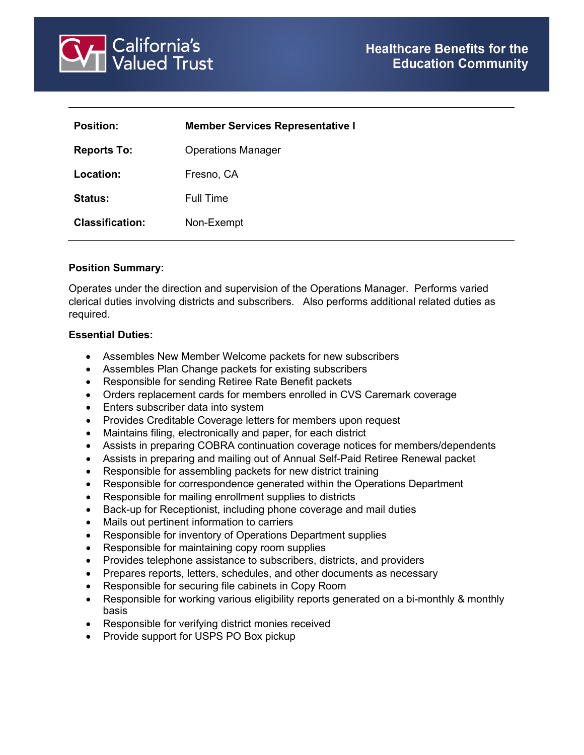

| <b>Position:</b>       | <b>Member Services Representative I</b> |
|------------------------|-----------------------------------------|
| <b>Reports To:</b>     | <b>Operations Manager</b>               |
| Location:              | Fresno, CA                              |
| <b>Status:</b>         | Full Time                               |
| <b>Classification:</b> | Non-Exempt                              |

# **Position Summary:**

Operates under the direction and supervision of the Operations Manager. Performs varied clerical duties involving districts and subscribers. Also performs additional related duties as required.

### **Essential Duties:**

- Assembles New Member Welcome packets for new subscribers
- Assembles Plan Change packets for existing subscribers
- Responsible for sending Retiree Rate Benefit packets
- Orders replacement cards for members enrolled in CVS Caremark coverage
- Enters subscriber data into system
- Provides Creditable Coverage letters for members upon request
- Maintains filing, electronically and paper, for each district
- Assists in preparing COBRA continuation coverage notices for members/dependents
- Assists in preparing and mailing out of Annual Self-Paid Retiree Renewal packet
- Responsible for assembling packets for new district training
- Responsible for correspondence generated within the Operations Department
- Responsible for mailing enrollment supplies to districts
- Back-up for Receptionist, including phone coverage and mail duties
- Mails out pertinent information to carriers
- Responsible for inventory of Operations Department supplies
- Responsible for maintaining copy room supplies
- Provides telephone assistance to subscribers, districts, and providers
- Prepares reports, letters, schedules, and other documents as necessary
- Responsible for securing file cabinets in Copy Room
- Responsible for working various eligibility reports generated on a bi-monthly & monthly basis
- Responsible for verifying district monies received
- Provide support for USPS PO Box pickup